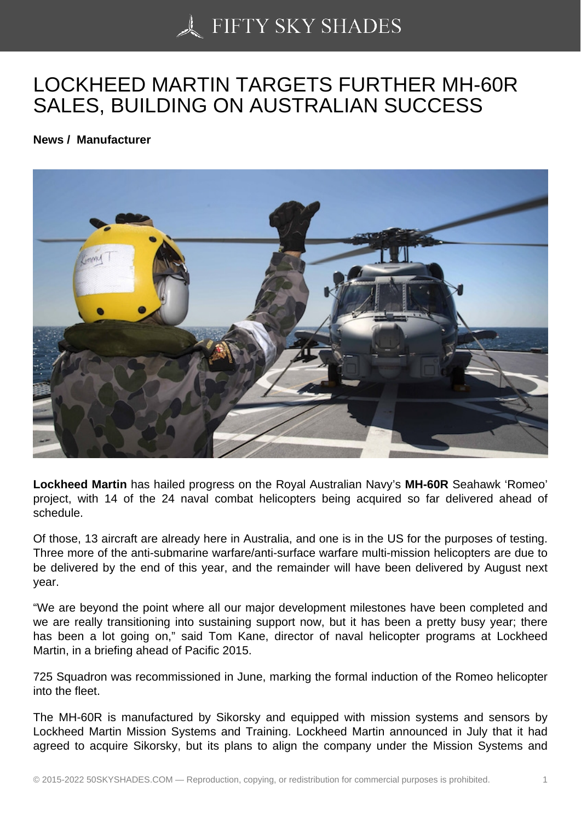## [LOCKHEED MARTIN T](https://50skyshades.com)ARGETS FURTHER MH-60R SALES, BUILDING ON AUSTRALIAN SUCCESS

News / Manufacturer

Lockheed Martin has hailed progress on the Royal Australian Navy's MH-60R Seahawk 'Romeo' project, with 14 of the 24 naval combat helicopters being acquired so far delivered ahead of schedule.

Of those, 13 aircraft are already here in Australia, and one is in the US for the purposes of testing. Three more of the anti-submarine warfare/anti-surface warfare multi-mission helicopters are due to be delivered by the end of this year, and the remainder will have been delivered by August next year.

"We are beyond the point where all our major development milestones have been completed and we are really transitioning into sustaining support now, but it has been a pretty busy year; there has been a lot going on," said Tom Kane, director of naval helicopter programs at Lockheed Martin, in a briefing ahead of Pacific 2015.

725 Squadron was recommissioned in June, marking the formal induction of the Romeo helicopter into the fleet.

The MH-60R is manufactured by Sikorsky and equipped with mission systems and sensors by Lockheed Martin Mission Systems and Training. Lockheed Martin announced in July that it had agreed to acquire Sikorsky, but its plans to align the company under the Mission Systems and